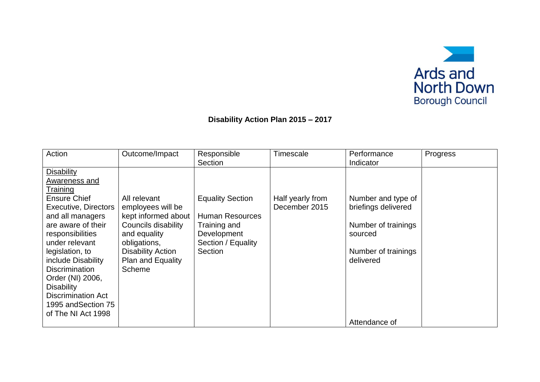

## **Disability Action Plan 2015 – 2017**

| Action                                                                                                                                                                                                                                                                                                                                       | Outcome/Impact                                                                                                                                                             | Responsible<br>Section                                                                                            | Timescale                         | Performance<br>Indicator                                                                                        | Progress |
|----------------------------------------------------------------------------------------------------------------------------------------------------------------------------------------------------------------------------------------------------------------------------------------------------------------------------------------------|----------------------------------------------------------------------------------------------------------------------------------------------------------------------------|-------------------------------------------------------------------------------------------------------------------|-----------------------------------|-----------------------------------------------------------------------------------------------------------------|----------|
| <b>Disability</b><br>Awareness and<br>Training<br>Ensure Chief<br><b>Executive, Directors</b><br>and all managers<br>are aware of their<br>responsibilities<br>under relevant<br>legislation, to<br>include Disability<br><b>Discrimination</b><br>Order (NI) 2006,<br><b>Disability</b><br><b>Discrimination Act</b><br>1995 and Section 75 | All relevant<br>employees will be<br>kept informed about<br>Councils disability<br>and equality<br>obligations,<br><b>Disability Action</b><br>Plan and Equality<br>Scheme | <b>Equality Section</b><br><b>Human Resources</b><br>Training and<br>Development<br>Section / Equality<br>Section | Half yearly from<br>December 2015 | Number and type of<br>briefings delivered<br>Number of trainings<br>sourced<br>Number of trainings<br>delivered |          |
| of The NI Act 1998                                                                                                                                                                                                                                                                                                                           |                                                                                                                                                                            |                                                                                                                   |                                   | Attendance of                                                                                                   |          |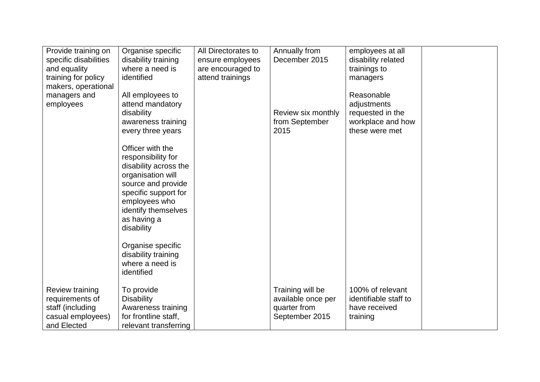| Provide training on<br>specific disabilities<br>and equality<br>training for policy        | Organise specific<br>disability training<br>where a need is<br>identified                                                                                                                               | All Directorates to<br>ensure employees<br>are encouraged to<br>attend trainings | Annually from<br>December 2015                                           | employees at all<br>disability related<br>trainings to<br>managers                   |  |
|--------------------------------------------------------------------------------------------|---------------------------------------------------------------------------------------------------------------------------------------------------------------------------------------------------------|----------------------------------------------------------------------------------|--------------------------------------------------------------------------|--------------------------------------------------------------------------------------|--|
| makers, operational<br>managers and<br>employees                                           | All employees to<br>attend mandatory<br>disability<br>awareness training<br>every three years                                                                                                           |                                                                                  | Review six monthly<br>from September<br>2015                             | Reasonable<br>adjustments<br>requested in the<br>workplace and how<br>these were met |  |
|                                                                                            | Officer with the<br>responsibility for<br>disability across the<br>organisation will<br>source and provide<br>specific support for<br>employees who<br>identify themselves<br>as having a<br>disability |                                                                                  |                                                                          |                                                                                      |  |
|                                                                                            | Organise specific<br>disability training<br>where a need is<br>identified                                                                                                                               |                                                                                  |                                                                          |                                                                                      |  |
| Review training<br>requirements of<br>staff (including<br>casual employees)<br>and Elected | To provide<br><b>Disability</b><br>Awareness training<br>for frontline staff,<br>relevant transferring                                                                                                  |                                                                                  | Training will be<br>available once per<br>quarter from<br>September 2015 | 100% of relevant<br>identifiable staff to<br>have received<br>training               |  |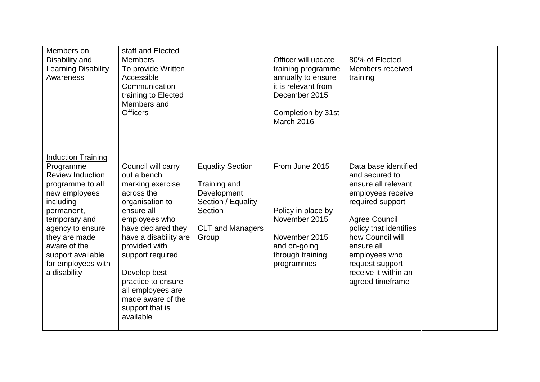| Members on<br>Disability and<br><b>Learning Disability</b><br>Awareness                                                                                                                                                                                            | staff and Elected<br><b>Members</b><br>To provide Written<br>Accessible<br>Communication<br>training to Elected<br>Members and<br><b>Officers</b>                                                                                                                                                                         |                                                                                                                             | Officer will update<br>training programme<br>annually to ensure<br>it is relevant from<br>December 2015<br>Completion by 31st<br>March 2016 | 80% of Elected<br>Members received<br>training                                                                                                                                                                                                                             |  |
|--------------------------------------------------------------------------------------------------------------------------------------------------------------------------------------------------------------------------------------------------------------------|---------------------------------------------------------------------------------------------------------------------------------------------------------------------------------------------------------------------------------------------------------------------------------------------------------------------------|-----------------------------------------------------------------------------------------------------------------------------|---------------------------------------------------------------------------------------------------------------------------------------------|----------------------------------------------------------------------------------------------------------------------------------------------------------------------------------------------------------------------------------------------------------------------------|--|
| <b>Induction Training</b><br>Programme<br><b>Review Induction</b><br>programme to all<br>new employees<br>including<br>permanent,<br>temporary and<br>agency to ensure<br>they are made<br>aware of the<br>support available<br>for employees with<br>a disability | Council will carry<br>out a bench<br>marking exercise<br>across the<br>organisation to<br>ensure all<br>employees who<br>have declared they<br>have a disability are<br>provided with<br>support required<br>Develop best<br>practice to ensure<br>all employees are<br>made aware of the<br>support that is<br>available | <b>Equality Section</b><br>Training and<br>Development<br>Section / Equality<br>Section<br><b>CLT and Managers</b><br>Group | From June 2015<br>Policy in place by<br>November 2015<br>November 2015<br>and on-going<br>through training<br>programmes                    | Data base identified<br>and secured to<br>ensure all relevant<br>employees receive<br>required support<br><b>Agree Council</b><br>policy that identifies<br>how Council will<br>ensure all<br>employees who<br>request support<br>receive it within an<br>agreed timeframe |  |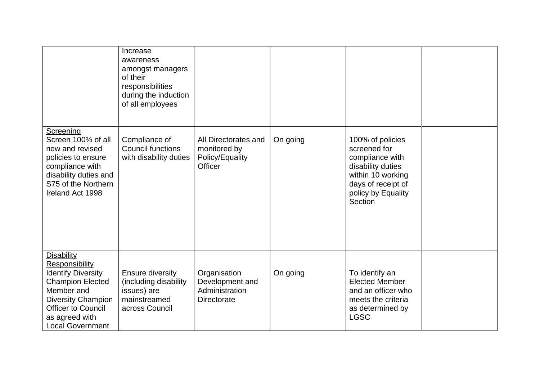|                                                                                                                                                                                                                         | Increase<br>awareness<br>amongst managers<br>of their<br>responsibilities<br>during the induction<br>of all employees |                                                                           |          |                                                                                                                                                      |  |
|-------------------------------------------------------------------------------------------------------------------------------------------------------------------------------------------------------------------------|-----------------------------------------------------------------------------------------------------------------------|---------------------------------------------------------------------------|----------|------------------------------------------------------------------------------------------------------------------------------------------------------|--|
| Screening<br>Screen 100% of all<br>new and revised<br>policies to ensure<br>compliance with<br>disability duties and<br>S75 of the Northern<br>Ireland Act 1998                                                         | Compliance of<br><b>Council functions</b><br>with disability duties                                                   | All Directorates and<br>monitored by<br>Policy/Equality<br><b>Officer</b> | On going | 100% of policies<br>screened for<br>compliance with<br>disability duties<br>within 10 working<br>days of receipt of<br>policy by Equality<br>Section |  |
| <b>Disability</b><br><b>Responsibility</b><br><b>Identify Diversity</b><br><b>Champion Elected</b><br>Member and<br><b>Diversity Champion</b><br><b>Officer to Council</b><br>as agreed with<br><b>Local Government</b> | <b>Ensure diversity</b><br>(including disability<br>issues) are<br>mainstreamed<br>across Council                     | Organisation<br>Development and<br>Administration<br><b>Directorate</b>   | On going | To identify an<br><b>Elected Member</b><br>and an officer who<br>meets the criteria<br>as determined by<br><b>LGSC</b>                               |  |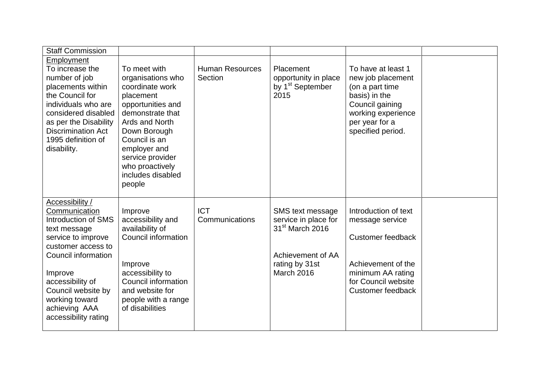| <b>Staff Commission</b>                                                                                                                                                                                                                                    |                                                                                                                                                                                                                                                     |                                   |                                                                                                                              |                                                                                                                                                             |  |
|------------------------------------------------------------------------------------------------------------------------------------------------------------------------------------------------------------------------------------------------------------|-----------------------------------------------------------------------------------------------------------------------------------------------------------------------------------------------------------------------------------------------------|-----------------------------------|------------------------------------------------------------------------------------------------------------------------------|-------------------------------------------------------------------------------------------------------------------------------------------------------------|--|
| <b>Employment</b><br>To increase the<br>number of job<br>placements within<br>the Council for<br>individuals who are<br>considered disabled<br>as per the Disability<br><b>Discrimination Act</b><br>1995 definition of<br>disability.                     | To meet with<br>organisations who<br>coordinate work<br>placement<br>opportunities and<br>demonstrate that<br>Ards and North<br>Down Borough<br>Council is an<br>employer and<br>service provider<br>who proactively<br>includes disabled<br>people | <b>Human Resources</b><br>Section | Placement<br>opportunity in place<br>by 1 <sup>st</sup> September<br>2015                                                    | To have at least 1<br>new job placement<br>(on a part time<br>basis) in the<br>Council gaining<br>working experience<br>per year for a<br>specified period. |  |
| Accessibility /<br>Communication<br>Introduction of SMS<br>text message<br>service to improve<br>customer access to<br>Council information<br>Improve<br>accessibility of<br>Council website by<br>working toward<br>achieving AAA<br>accessibility rating | Improve<br>accessibility and<br>availability of<br>Council information<br>Improve<br>accessibility to<br>Council information<br>and website for<br>people with a range<br>of disabilities                                                           | <b>ICT</b><br>Communications      | SMS text message<br>service in place for<br>31 <sup>st</sup> March 2016<br>Achievement of AA<br>rating by 31st<br>March 2016 | Introduction of text<br>message service<br><b>Customer feedback</b><br>Achievement of the<br>minimum AA rating<br>for Council website<br>Customer feedback  |  |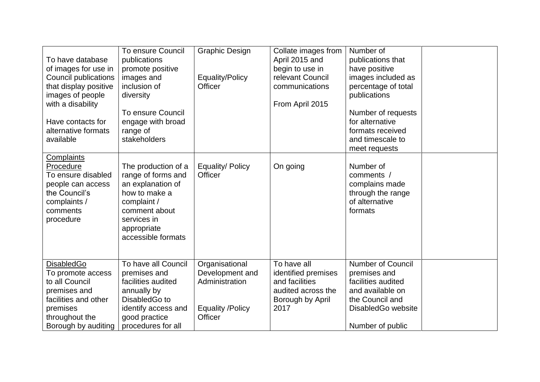| To have database<br>of images for use in<br><b>Council publications</b><br>that display positive<br>images of people<br>with a disability<br>Have contacts for<br>alternative formats<br>available | To ensure Council<br>publications<br>promote positive<br>images and<br>inclusion of<br>diversity<br><b>To ensure Council</b><br>engage with broad<br>range of<br>stakeholders | <b>Graphic Design</b><br>Equality/Policy<br>Officer                                       | Collate images from<br>April 2015 and<br>begin to use in<br>relevant Council<br>communications<br>From April 2015 | Number of<br>publications that<br>have positive<br>images included as<br>percentage of total<br>publications<br>Number of requests<br>for alternative<br>formats received<br>and timescale to<br>meet requests |  |
|----------------------------------------------------------------------------------------------------------------------------------------------------------------------------------------------------|-------------------------------------------------------------------------------------------------------------------------------------------------------------------------------|-------------------------------------------------------------------------------------------|-------------------------------------------------------------------------------------------------------------------|----------------------------------------------------------------------------------------------------------------------------------------------------------------------------------------------------------------|--|
| <b>Complaints</b><br>Procedure<br>To ensure disabled<br>people can access<br>the Council's<br>complaints /<br>comments<br>procedure                                                                | The production of a<br>range of forms and<br>an explanation of<br>how to make a<br>complaint /<br>comment about<br>services in<br>appropriate<br>accessible formats           | Equality/ Policy<br>Officer                                                               | On going                                                                                                          | Number of<br>comments /<br>complains made<br>through the range<br>of alternative<br>formats                                                                                                                    |  |
| <b>DisabledGo</b><br>To promote access<br>to all Council<br>premises and<br>facilities and other<br>premises<br>throughout the<br>Borough by auditing                                              | To have all Council<br>premises and<br>facilities audited<br>annually by<br>DisabledGo to<br>identify access and<br>good practice<br>procedures for all                       | Organisational<br>Development and<br>Administration<br><b>Equality /Policy</b><br>Officer | To have all<br>identified premises<br>and facilities<br>audited across the<br>Borough by April<br>2017            | <b>Number of Council</b><br>premises and<br>facilities audited<br>and available on<br>the Council and<br>DisabledGo website<br>Number of public                                                                |  |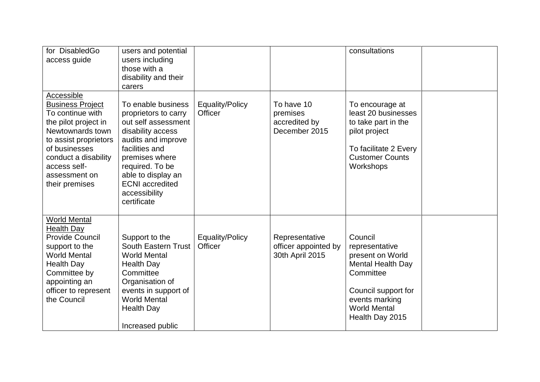| for DisabledGo<br>access guide                                                                                                                                                                                             | users and potential<br>users including<br>those with a<br>disability and their<br>carers                                                                                                                                                            |                                          |                                                           | consultations                                                                                                                                                             |  |
|----------------------------------------------------------------------------------------------------------------------------------------------------------------------------------------------------------------------------|-----------------------------------------------------------------------------------------------------------------------------------------------------------------------------------------------------------------------------------------------------|------------------------------------------|-----------------------------------------------------------|---------------------------------------------------------------------------------------------------------------------------------------------------------------------------|--|
| Accessible<br><b>Business Project</b><br>To continue with<br>the pilot project in<br>Newtownards town<br>to assist proprietors<br>of businesses<br>conduct a disability<br>access self-<br>assessment on<br>their premises | To enable business<br>proprietors to carry<br>out self assessment<br>disability access<br>audits and improve<br>facilities and<br>premises where<br>required. To be<br>able to display an<br><b>ECNI</b> accredited<br>accessibility<br>certificate | <b>Equality/Policy</b><br><b>Officer</b> | To have 10<br>premises<br>accredited by<br>December 2015  | To encourage at<br>least 20 businesses<br>to take part in the<br>pilot project<br>To facilitate 2 Every<br><b>Customer Counts</b><br>Workshops                            |  |
| <b>World Mental</b><br><b>Health Day</b><br><b>Provide Council</b><br>support to the<br><b>World Mental</b><br><b>Health Day</b><br>Committee by<br>appointing an<br>officer to represent<br>the Council                   | Support to the<br>South Eastern Trust<br><b>World Mental</b><br><b>Health Day</b><br>Committee<br>Organisation of<br>events in support of<br><b>World Mental</b><br><b>Health Day</b><br>Increased public                                           | Equality/Policy<br>Officer               | Representative<br>officer appointed by<br>30th April 2015 | Council<br>representative<br>present on World<br><b>Mental Health Day</b><br>Committee<br>Council support for<br>events marking<br><b>World Mental</b><br>Health Day 2015 |  |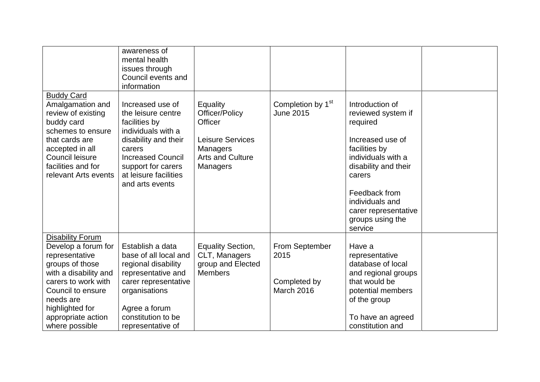|                                                                                                                                                                                                      | awareness of<br>mental health<br>issues through<br>Council events and<br>information                                                                                                                          |                                                                                                                                          |                                                             |                                                                                                                                                                                                                                |  |
|------------------------------------------------------------------------------------------------------------------------------------------------------------------------------------------------------|---------------------------------------------------------------------------------------------------------------------------------------------------------------------------------------------------------------|------------------------------------------------------------------------------------------------------------------------------------------|-------------------------------------------------------------|--------------------------------------------------------------------------------------------------------------------------------------------------------------------------------------------------------------------------------|--|
| <b>Buddy Card</b><br>Amalgamation and<br>review of existing<br>buddy card<br>schemes to ensure<br>that cards are<br>accepted in all<br>Council leisure<br>facilities and for<br>relevant Arts events | Increased use of<br>the leisure centre<br>facilities by<br>individuals with a<br>disability and their<br>carers<br><b>Increased Council</b><br>support for carers<br>at leisure facilities<br>and arts events | <b>Equality</b><br>Officer/Policy<br><b>Officer</b><br><b>Leisure Services</b><br><b>Managers</b><br><b>Arts and Culture</b><br>Managers | Completion by 1 <sup>st</sup><br><b>June 2015</b>           | Introduction of<br>reviewed system if<br>required<br>Increased use of<br>facilities by<br>individuals with a<br>disability and their<br>carers<br>Feedback from<br>individuals and<br>carer representative<br>groups using the |  |
|                                                                                                                                                                                                      |                                                                                                                                                                                                               |                                                                                                                                          |                                                             | service                                                                                                                                                                                                                        |  |
| <b>Disability Forum</b><br>Develop a forum for<br>representative<br>groups of those<br>with a disability and<br>carers to work with<br>Council to ensure<br>needs are<br>highlighted for             | Establish a data<br>base of all local and<br>regional disability<br>representative and<br>carer representative<br>organisations<br>Agree a forum                                                              | <b>Equality Section,</b><br>CLT, Managers<br>group and Elected<br><b>Members</b>                                                         | From September<br>2015<br>Completed by<br><b>March 2016</b> | Have a<br>representative<br>database of local<br>and regional groups<br>that would be<br>potential members<br>of the group                                                                                                     |  |
| appropriate action<br>where possible                                                                                                                                                                 | constitution to be<br>representative of                                                                                                                                                                       |                                                                                                                                          |                                                             | To have an agreed<br>constitution and                                                                                                                                                                                          |  |